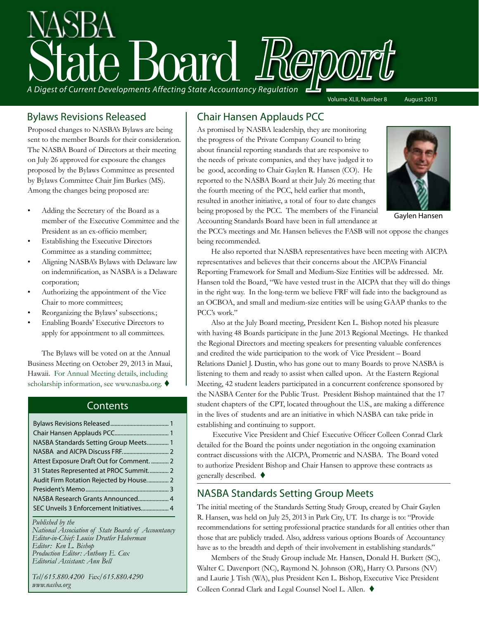# A Digest of Current Developments Affecting State Accountancy Regulation Volume XLII, Number 8 August 2013

#### Bylaws Revisions Released

Proposed changes to NASBA's Bylaws are being sent to the member Boards for their consideration. The NASBA Board of Directors at their meeting on July 26 approved for exposure the changes proposed by the Bylaws Committee as presented by Bylaws Committee Chair Jim Burkes (MS). Among the changes being proposed are:

- Adding the Secretary of the Board as a member of the Executive Committee and the President as an ex-officio member;
- Establishing the Executive Directors Committee as a standing committee;
- Aligning NASBA's Bylaws with Delaware law on indemnification, as NASBA is a Delaware corporation;
- Authorizing the appointment of the Vice Chair to more committees;
- Reorganizing the Bylaws' subsections.;
- Enabling Boards' Executive Directors to apply for appointment to all committees.

The Bylaws will be voted on at the Annual Business Meeting on October 29, 2013 in Maui, Hawaii. [For Annual Meeting details, including](http://nasba.org/files/2011/01/Scholarship_Request_Instructions.pdf)  [scholarship information, see www.nasba.org.](http://nasba.org/files/2011/01/Scholarship_Request_Instructions.pdf)  $\blacklozenge$ 

#### **Contents**

| NASBA Standards Setting Group Meets 1     |
|-------------------------------------------|
|                                           |
| Attest Exposure Draft Out for Comment.  2 |
| 31 States Represented at PROC Summit 2    |
| Audit Firm Rotation Rejected by House 2   |
|                                           |
|                                           |
| SEC Unveils 3 Enforcement Initiatives 4   |

#### *Published by the*

*National Association of State Boards of Accountancy Editor-in-Chief: Louise Dratler Haberman Editor: Ken L. Bishop Production Editor: Anthony E. Cox Editorial Assistant: Ann Bell* 

*Tel/615.880.4200 Fax/615.880.4290 www.nasba.org*

### Chair Hansen Applauds PCC

As promised by NASBA leadership, they are monitoring the progress of the Private Company Council to bring about financial reporting standards that are responsive to the needs of private companies, and they have judged it to be good, according to Chair Gaylen R. Hansen (CO). He reported to the NASBA Board at their July 26 meeting that the fourth meeting of the PCC, held earlier that month, resulted in another initiative, a total of four to date changes being proposed by the PCC. The members of the Financial Accounting Standards Board have been in full attendance at



Gaylen Hansen

the PCC's meetings and Mr. Hansen believes the FASB will not oppose the changes being recommended.

He also reported that NASBA representatives have been meeting with AICPA representatives and believes that their concerns about the AICPA's Financial Reporting Framework for Small and Medium-Size Entities will be addressed. Mr. Hansen told the Board, "We have vested trust in the AICPA that they will do things in the right way. In the long-term we believe FRF will fade into the background as an OCBOA, and small and medium-size entities will be using GAAP thanks to the PCC's work."

Also at the July Board meeting, President Ken L. Bishop noted his pleasure with having 48 Boards participate in the June 2013 Regional Meetings. He thanked the Regional Directors and meeting speakers for presenting valuable conferences and credited the wide participation to the work of Vice President – Board Relations Daniel J. Dustin, who has gone out to many Boards to prove NASBA is listening to them and ready to assist when called upon. At the Eastern Regional Meeting, 42 student leaders participated in a concurrent conference sponsored by the NASBA Center for the Public Trust. President Bishop maintained that the 17 student chapters of the CPT, located throughout the U.S., are making a difference in the lives of students and are an initiative in which NASBA can take pride in establishing and continuing to support.

 Executive Vice President and Chief Executive Officer Colleen Conrad Clark detailed for the Board the points under negotiation in the ongoing examination contract discussions with the AICPA, Prometric and NASBA. The Board voted to authorize President Bishop and Chair Hansen to approve these contracts as generally described.  $\blacklozenge$ 

#### NASBA Standards Setting Group Meets

The initial meeting of the Standards Setting Study Group, created by Chair Gaylen R. Hansen, was held on July 25, 2013 in Park City, UT. Its charge is to: "Provide recommendations for setting professional practice standards for all entities other than those that are publicly traded. Also, address various options Boards of Accountancy have as to the breadth and depth of their involvement in establishing standards."

Members of the Study Group include Mr. Hansen, Donald H. Burkett (SC), Walter C. Davenport (NC), Raymond N. Johnson (OR), Harry O. Parsons (NV) and Laurie J. Tish (WA), plus President Ken L. Bishop, Executive Vice President Colleen Conrad Clark and Legal Counsel Noel L. Allen. ♦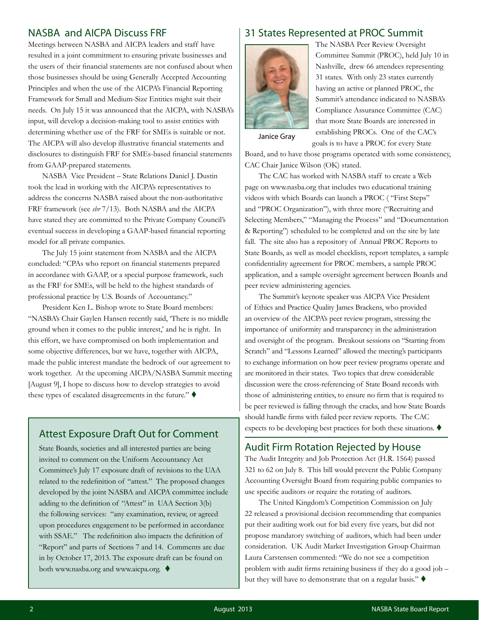#### <span id="page-1-0"></span>NASBA and AICPA Discuss FRF

Meetings between NASBA and AICPA leaders and staff have resulted in a joint commitment to ensuring private businesses and the users of their financial statements are not confused about when those businesses should be using Generally Accepted Accounting Principles and when the use of the AICPA's Financial Reporting Framework for Small and Medium-Size Entities might suit their needs. On July 15 it was announced that the AICPA, with NASBA's input, will develop a decision-making tool to assist entities with determining whether use of the FRF for SMEs is suitable or not. The AICPA will also develop illustrative financial statements and disclosures to distinguish FRF for SMEs-based financial statements from GAAP-prepared statements.

NASBA Vice President – State Relations Daniel J. Dustin took the lead in working with the AICPA's representatives to address the concerns NASBA raised about the non-authoritative FRF framework (see *sbr* [7/13\).](http://nasba.org/files/2013/07/JulySBR_2013.pdf) Both NASBA and the AICPA have stated they are committed to the Private Company Council's eventual success in developing a GAAP-based financial reporting model for all private companies.

The July 15 joint statement from NASBA and the AICPA concluded: "CPAs who report on financial statements prepared in accordance with GAAP, or a special purpose framework, such as the FRF for SMEs, will be held to the highest standards of professional practice by U.S. Boards of Accountancy."

President Ken L. Bishop wrote to State Board members: "NASBA's Chair Gaylen Hansen recently said, 'There is no middle ground when it comes to the public interest,' and he is right. In this effort, we have compromised on both implementation and some objective differences, but we have, together with AICPA, made the public interest mandate the bedrock of our agreement to work together. At the upcoming AICPA/NASBA Summit meeting [August 9], I hope to discuss how to develop strategies to avoid these types of escalated disagreements in the future."  $\blacklozenge$ 

#### Attest Exposure Draft Out for Comment

State Boards, societies and all interested parties are being invited to comment on the Uniform Accountancy Act Committee's July 17 exposure draft of revisions to the UAA related to the redefinition of "attest." The proposed changes developed by the joint NASBA and AICPA committee include adding to the definition of "Attest" in UAA Section 3(b) the following services: "any examination, review, or agreed upon procedures engagement to be performed in accordance with SSAE." The redefinition also impacts the definition of "Report" and parts of Sections 7 and 14. Comments are due in by October 17, 2013. The exposure draft can be found on both [www.nasba.org](http://www.nasba.org) and [www.aicpa.org](http://aicpa.org).  $\blacklozenge$ 

#### 31 States Represented at PROC Summit



The NASBA Peer Review Oversight Committee Summit (PROC), held July 10 in Nashville, drew 66 attendees representing 31 states. With only 23 states currently having an active or planned PROC, the Summit's attendance indicated to NASBA's Compliance Assurance Committee (CAC) that more State Boards are interested in establishing PROCs. One of the CAC's

goals is to have a PROC for every State

Janice Gray

Board, and to have those programs operated with some consistency, CAC Chair Janice Wilson (OK) stated.

The CAC has worked with NASBA staff to create a Web page on www.nasba.org that includes two educational training videos with which Boards can launch a PROC ( "First Steps" and "PROC Organization"), with three more ("Recruiting and Selecting Members," "Managing the Process" and "Documentation & Reporting") scheduled to be completed and on the site by late fall. The site also has a repository of Annual PROC Reports to State Boards, as well as model checklists, report templates, a sample confidentiality agreement for PROC members, a sample PROC application, and a sample oversight agreement between Boards and peer review administering agencies.

The Summit's keynote speaker was AICPA Vice President of Ethics and Practice Quality James Brackens, who provided an overview of the AICPA's peer review program, stressing the importance of uniformity and transparency in the administration and oversight of the program. Breakout sessions on "Starting from Scratch" and "Lessons Learned" allowed the meeting's participants to exchange information on how peer review programs operate and are monitored in their states. Two topics that drew considerable discussion were the cross-referencing of State Board records with those of administering entities, to ensure no firm that is required to be peer reviewed is falling through the cracks, and how State Boards should handle firms with failed peer review reports. The CAC expects to be developing best practices for both these situations.  $\blacklozenge$ 

#### Audit Firm Rotation Rejected by House

The Audit Integrity and Job Protection Act (H.R. 1564) passed 321 to 62 on July 8. This bill would prevent the Public Company Accounting Oversight Board from requiring public companies to use specific auditors or require the rotating of auditors.

The United Kingdom's Competition Commission on July 22 released a provisional decision recommending that companies put their auditing work out for bid every five years, but did not propose mandatory switching of auditors, which had been under consideration. UK Audit Market Investigation Group Chairman Laura Carstensen commented: "We do not see a competition problem with audit firms retaining business if they do a good job – but they will have to demonstrate that on a regular basis."  $\blacklozenge$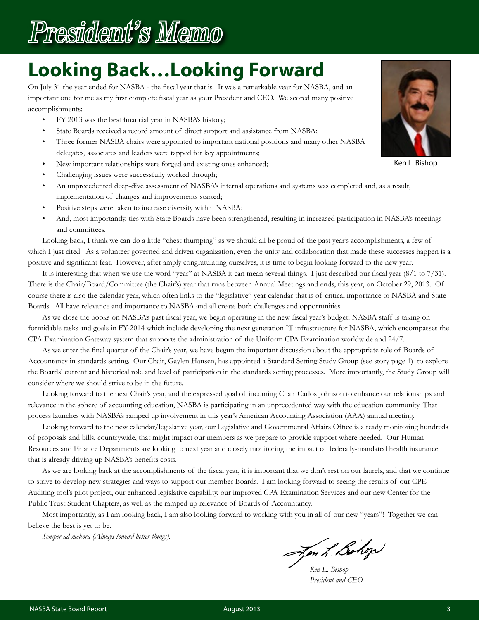<span id="page-2-0"></span>

## **Looking Back…Looking Forward**

On July 31 the year ended for NASBA - the fiscal year that is. It was a remarkable year for NASBA, and an important one for me as my first complete fiscal year as your President and CEO. We scored many positive accomplishments:

- FY 2013 was the best financial year in NASBA's history;
- State Boards received a record amount of direct support and assistance from NASBA;
- Three former NASBA chairs were appointed to important national positions and many other NASBA delegates, associates and leaders were tapped for key appointments;
- New important relationships were forged and existing ones enhanced;
- Challenging issues were successfully worked through;
- An unprecedented deep-dive assessment of NASBA's internal operations and systems was completed and, as a result, implementation of changes and improvements started;
- Positive steps were taken to increase diversity within NASBA;
- And, most importantly, ties with State Boards have been strengthened, resulting in increased participation in NASBA's meetings and committees.

Looking back, I think we can do a little "chest thumping" as we should all be proud of the past year's accomplishments, a few of which I just cited. As a volunteer governed and driven organization, even the unity and collaboration that made these successes happen is a positive and significant feat. However, after amply congratulating ourselves, it is time to begin looking forward to the new year.

It is interesting that when we use the word "year" at NASBA it can mean several things. I just described our fiscal year (8/1 to 7/31). There is the Chair/Board/Committee (the Chair's) year that runs between Annual Meetings and ends, this year, on October 29, 2013. Of course there is also the calendar year, which often links to the "legislative" year calendar that is of critical importance to NASBA and State Boards. All have relevance and importance to NASBA and all create both challenges and opportunities.

As we close the books on NASBA's past fiscal year, we begin operating in the new fiscal year's budget. NASBA staff is taking on formidable tasks and goals in FY-2014 which include developing the next generation IT infrastructure for NASBA, which encompasses the CPA Examination Gateway system that supports the administration of the Uniform CPA Examination worldwide and 24/7.

As we enter the final quarter of the Chair's year, we have begun the important discussion about the appropriate role of Boards of Accountancy in standards setting. Our Chair, Gaylen Hansen, has appointed a Standard Setting Study Group (see story page 1) to explore the Boards' current and historical role and level of participation in the standards setting processes. More importantly, the Study Group will consider where we should strive to be in the future.

Looking forward to the next Chair's year, and the expressed goal of incoming Chair Carlos Johnson to enhance our relationships and relevance in the sphere of accounting education, NASBA is participating in an unprecedented way with the education community. That process launches with NASBA's ramped up involvement in this year's American Accounting Association (AAA) annual meeting.

Looking forward to the new calendar/legislative year, our Legislative and Governmental Affairs Office is already monitoring hundreds of proposals and bills, countrywide, that might impact our members as we prepare to provide support where needed. Our Human Resources and Finance Departments are looking to next year and closely monitoring the impact of federally-mandated health insurance that is already driving up NASBA's benefits costs.

As we are looking back at the accomplishments of the fiscal year, it is important that we don't rest on our laurels, and that we continue to strive to develop new strategies and ways to support our member Boards. I am looking forward to seeing the results of our CPE Auditing tool's pilot project, our enhanced legislative capability, our improved CPA Examination Services and our new Center for the Public Trust Student Chapters, as well as the ramped up relevance of Boards of Accountancy.

Most importantly, as I am looking back, I am also looking forward to working with you in all of our new "years"! Together we can believe the best is yet to be.

*Semper ad meliora (Always toward better things).*

*― Ken L. Bishop*

 *President and CEO*



Ken L. Bishop